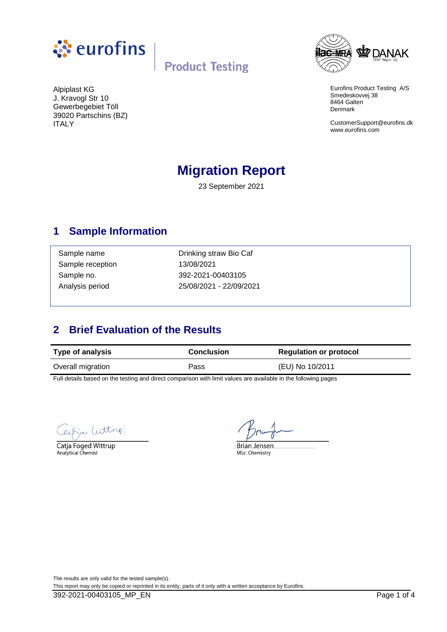



Eurofins Product Testing A/S Smedeskovvej 38 8464 Galten Denmark

CustomerSupport@eurofins.dk www.eurofins.com

J. Kravogl Str 10 Gewerbegebiet Töll 39020 Partschins (BZ) ITALY

Alpiplast KG

# **Migration Report**

23 September 2021

### **1 Sample Information**

Sample reception 13/08/2021

Sample name **Drinking straw Bio Caf** Sample no. 392-2021-00403105 Analysis period 25/08/2021 - 22/09/2021

## **2 Brief Evaluation of the Results**

| <b>Type of analysis</b> | <b>Conclusion</b> | <b>Regulation or protocol</b> |
|-------------------------|-------------------|-------------------------------|
| Overall migration       | Pass              | (EU) No 10/2011               |

Full details based on the testing and direct comparison with limit values are available in the following pages

Witting

Catja Foged Wittrup Analytical Chemist

**Brian Jensen** 

MSc. Chemistry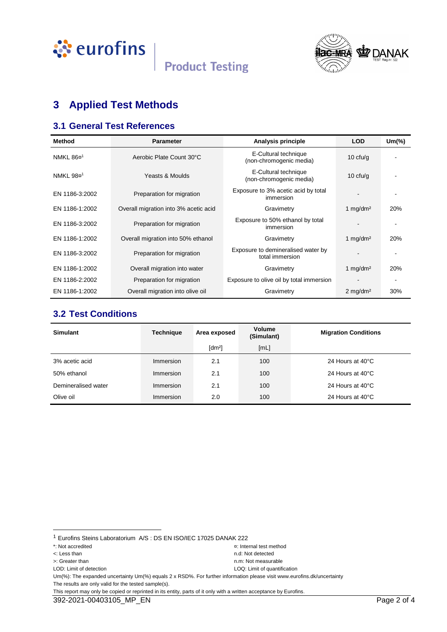



# **3 Applied Test Methods**

#### **3.1 General Test References**

| <b>Method</b>         | <b>Parameter</b>                      | Analysis principle                                    | <b>LOD</b>             | $Um$ $\%$ |
|-----------------------|---------------------------------------|-------------------------------------------------------|------------------------|-----------|
| NMKL 86¤ <sup>1</sup> | Aerobic Plate Count 30°C              | E-Cultural technique<br>(non-chromogenic media)       | 10 $ctu/g$             |           |
| NMKL 98¤ <sup>1</sup> | Yeasts & Moulds                       | E-Cultural technique<br>(non-chromogenic media)       | 10 $ctu/g$             |           |
| EN 1186-3:2002        | Preparation for migration             | Exposure to 3% acetic acid by total<br>immersion      |                        |           |
| EN 1186-1:2002        | Overall migration into 3% acetic acid | Gravimetry                                            | 1 $mq/dm^2$            | 20%       |
| EN 1186-3:2002        | Preparation for migration             | Exposure to 50% ethanol by total<br>immersion         |                        |           |
| EN 1186-1:2002        | Overall migration into 50% ethanol    | Gravimetry                                            | 1 mg/dm <sup>2</sup>   | 20%       |
| EN 1186-3:2002        | Preparation for migration             | Exposure to demineralised water by<br>total immersion |                        |           |
| EN 1186-1:2002        | Overall migration into water          | Gravimetry                                            | 1 mg/dm <sup>2</sup>   | 20%       |
| EN 1186-2:2002        | Preparation for migration             | Exposure to olive oil by total immersion              |                        |           |
| EN 1186-1:2002        | Overall migration into olive oil      | Gravimetry                                            | $2$ mg/dm <sup>2</sup> | 30%       |

#### **3.2 Test Conditions**

| <b>Simulant</b>     | <b>Technique</b> | Area exposed         | <b>Volume</b><br>(Simulant) | <b>Migration Conditions</b> |
|---------------------|------------------|----------------------|-----------------------------|-----------------------------|
|                     |                  | $\lceil dm^2 \rceil$ | [ML]                        |                             |
| 3% acetic acid      | Immersion        | 2.1                  | 100                         | 24 Hours at 40°C            |
| 50% ethanol         | Immersion        | 2.1                  | 100                         | 24 Hours at 40°C            |
| Demineralised water | Immersion        | 2.1                  | 100                         | 24 Hours at 40°C            |
| Olive oil           | Immersion        | 2.0                  | 100                         | 24 Hours at 40°C            |

l

Um(%): The expanded uncertainty Um(%) equals 2 x RSD%. For further information please visit www.eurofins.dk/uncertainty The results are only valid for the tested sample(s).

This report may only be copied or reprinted in its entity, parts of it only with a written acceptance by Eurofins.

<sup>1</sup> Eurofins Steins Laboratorium A/S : DS EN ISO/IEC 17025 DANAK 222

<sup>\*:</sup> Not accredited ¤: Internal test method

<sup>&</sup>lt;: Less than n.d: Not detected

LOD: Limit of detection LOQ: Limit of quantification

<sup>&</sup>gt;: Greater than n.m: Not measurable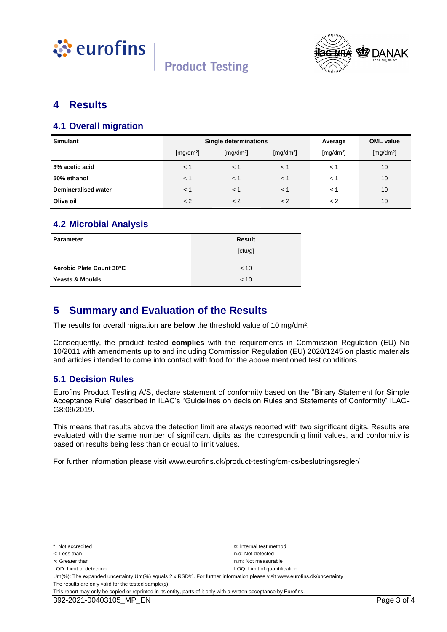



#### **4 Results**

#### **4.1 Overall migration**

| <b>Simulant</b>            | Single determinations |                       |                       | Average               | <b>OML</b> value      |
|----------------------------|-----------------------|-----------------------|-----------------------|-----------------------|-----------------------|
|                            | [mg/dm <sup>2</sup> ] | [mg/dm <sup>2</sup> ] | [mg/dm <sup>2</sup> ] | [mg/dm <sup>2</sup> ] | [mg/dm <sup>2</sup> ] |
| 3% acetic acid             | $\leq 1$              | < 1                   | $\leq 1$              | < 1                   | 10                    |
| 50% ethanol                | < 1                   | < 1                   | $<$ 1                 | $\lt$ 1               | 10                    |
| <b>Demineralised water</b> | < 1                   | < 1                   | $<$ 1                 | < 1                   | 10                    |
| Olive oil                  | < 2                   | < 2                   | < 2                   | < 2                   | 10                    |

#### **4.2 Microbial Analysis**

| Parameter                  | <b>Result</b> |
|----------------------------|---------------|
|                            | [ctu/g]       |
|                            |               |
| Aerobic Plate Count 30°C   | ~< 10         |
| <b>Yeasts &amp; Moulds</b> | < 10          |

#### **5 Summary and Evaluation of the Results**

The results for overall migration **are below** the threshold value of 10 mg/dm².

Consequently, the product tested **complies** with the requirements in Commission Regulation (EU) No 10/2011 with amendments up to and including Commission Regulation (EU) 2020/1245 on plastic materials and articles intended to come into contact with food for the above mentioned test conditions.

#### **5.1 Decision Rules**

Eurofins Product Testing A/S, declare statement of conformity based on the "Binary Statement for Simple Acceptance Rule" described in ILAC's "Guidelines on decision Rules and Statements of Conformity" ILAC-G8:09/2019.

This means that results above the detection limit are always reported with two significant digits. Results are evaluated with the same number of significant digits as the corresponding limit values, and conformity is based on results being less than or equal to limit values.

For further information please visit www.eurofins.dk/product-testing/om-os/beslutningsregler/

\*: Not accredited ¤: Internal test method <: Less than n.d: Not detected >: Greater than next measurable than  $n \times 1$  is the measurable measurable n.m: Not measurable LOD: Limit of detection LOD: Limit of detection LOD: Limit of quantification Um(%): The expanded uncertainty Um(%) equals 2 x RSD%. For further information please visit www.eurofins.dk/uncertainty The results are only valid for the tested sample(s). This report may only be copied or reprinted in its entity, parts of it only with a written acceptance by Eurofins.